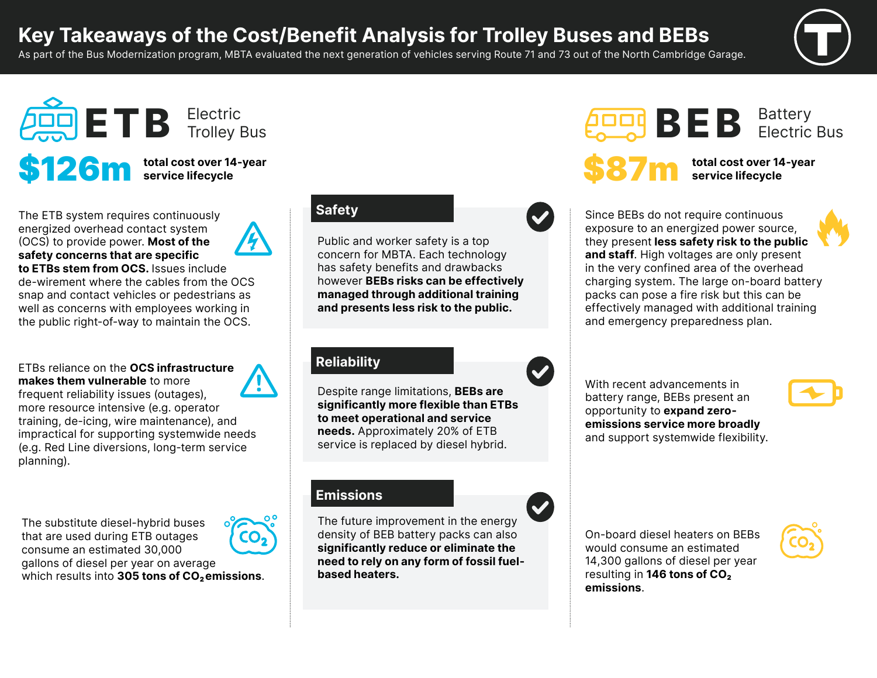# **Key Takeaways of the Cost/Benefit Analysis for Trolley Buses and BEBs**

As part of the Bus Modernization program, MBTA evaluated the next generation of vehicles serving Route 71 and 73 out of the North Cambridge Garage.



Electric Bus



The ETB system requires continuously energized overhead contact system (OCS) to provide power. **Most of the safety concerns that are specific** 

**to ETBs stem from OCS.** Issues include de-wirement where the cables from the OCS snap and contact vehicles or pedestrians as well as concerns with employees working in the public right-of-way to maintain the OCS.

ETBs reliance on the **OCS infrastructure makes them vulnerable** to more

frequent reliability issues (outages), more resource intensive (e.g. operator training, de-icing, wire maintenance), and impractical for supporting systemwide needs (e.g. Red Line diversions, long-term service planning).

The substitute diesel-hybrid buses that are used during ETB outages consume an estimated 30,000 gallons of diesel per year on average which results into 305 tons of CO<sub>2</sub> emissions.



## **Safety**

Public and worker safety is a top concern for MBTA. Each technology has safety benefits and drawbacks however **BEBs risks can be effectively managed through additional training and presents less risk to the public.**

### **Reliability**

Despite range limitations, **BEBs are significantly more flexible than ETBs to meet operational and service needs.** Approximately 20% of ETB service is replaced by diesel hybrid.

#### **Emissions**

The future improvement in the energy density of BEB battery packs can also **significantly reduce or eliminate the need to rely on any form of fossil fuelbased heaters.**



total cost over 14-year **service lifecycle**

**BEB** Battery

Since BEBs do not require continuous exposure to an energized power source, they present **less safety risk to the public and staff**. High voltages are only present in the very confined area of the overhead charging system. The large on-board battery packs can pose a fire risk but this can be effectively managed with additional training and emergency preparedness plan.

With recent advancements in battery range, BEBs present an opportunity to **expand zeroemissions service more broadly** and support systemwide flexibility.



On-board diesel heaters on BEBs would consume an estimated 14,300 gallons of diesel per year resulting in **146 tons of CO<sub>2</sub> emissions**.